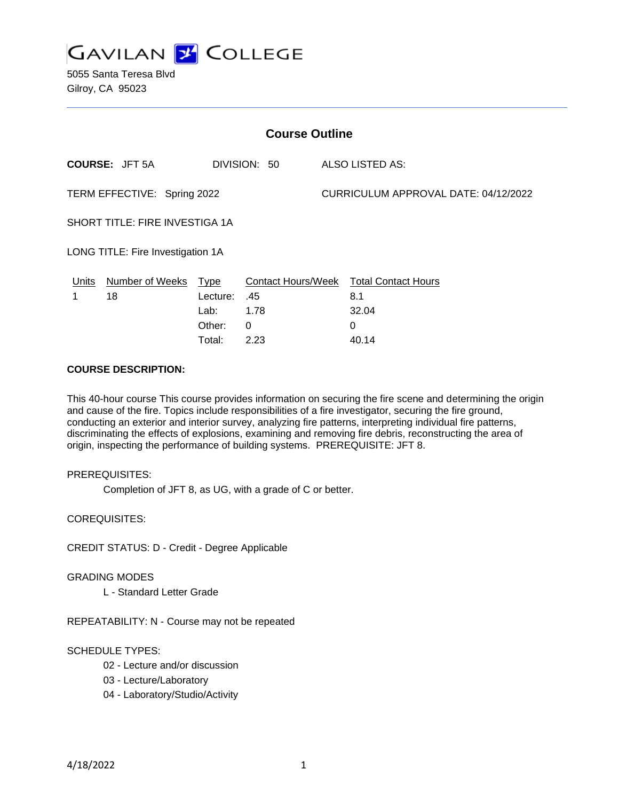

| <b>Course Outline</b>             |                 |              |                           |                                      |                            |
|-----------------------------------|-----------------|--------------|---------------------------|--------------------------------------|----------------------------|
| <b>COURSE: JFT 5A</b>             |                 | DIVISION: 50 |                           | <b>ALSO LISTED AS:</b>               |                            |
| TERM EFFECTIVE: Spring 2022       |                 |              |                           | CURRICULUM APPROVAL DATE: 04/12/2022 |                            |
| SHORT TITLE: FIRE INVESTIGA 1A    |                 |              |                           |                                      |                            |
| LONG TITLE: Fire Investigation 1A |                 |              |                           |                                      |                            |
| Units                             | Number of Weeks | <b>Type</b>  | <b>Contact Hours/Week</b> |                                      | <b>Total Contact Hours</b> |
|                                   | 18              | Lecture:     | .45                       |                                      | 8.1                        |
|                                   |                 | Lab:         | 1.78                      |                                      | 32.04                      |
|                                   |                 | Other:       | $\Omega$                  |                                      | 0                          |
|                                   |                 | Total:       | 2.23                      |                                      | 40.14                      |

## **COURSE DESCRIPTION:**

This 40-hour course This course provides information on securing the fire scene and determining the origin and cause of the fire. Topics include responsibilities of a fire investigator, securing the fire ground, conducting an exterior and interior survey, analyzing fire patterns, interpreting individual fire patterns, discriminating the effects of explosions, examining and removing fire debris, reconstructing the area of origin, inspecting the performance of building systems. PREREQUISITE: JFT 8.

### PREREQUISITES:

Completion of JFT 8, as UG, with a grade of C or better.

COREQUISITES:

CREDIT STATUS: D - Credit - Degree Applicable

### GRADING MODES

L - Standard Letter Grade

REPEATABILITY: N - Course may not be repeated

## SCHEDULE TYPES:

- 02 Lecture and/or discussion
- 03 Lecture/Laboratory
- 04 Laboratory/Studio/Activity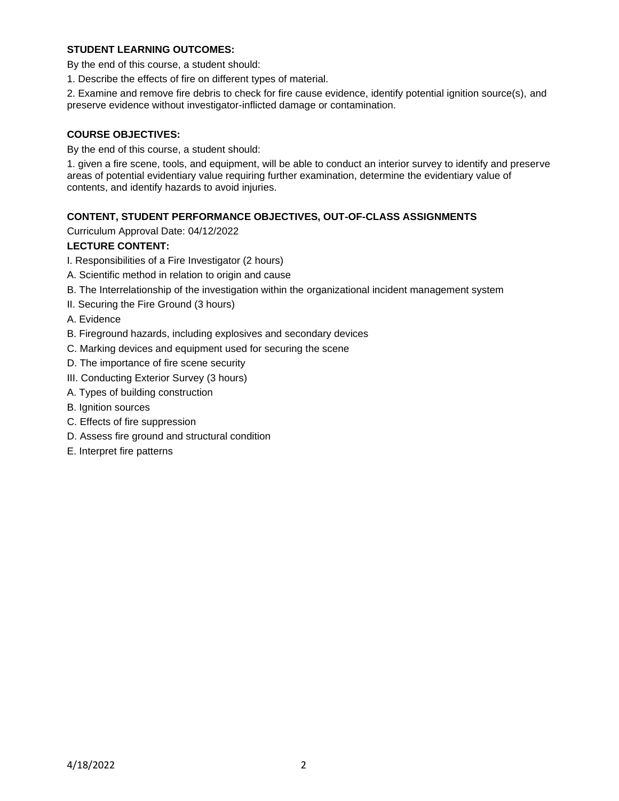## **STUDENT LEARNING OUTCOMES:**

By the end of this course, a student should:

1. Describe the effects of fire on different types of material.

2. Examine and remove fire debris to check for fire cause evidence, identify potential ignition source(s), and preserve evidence without investigator-inflicted damage or contamination.

## **COURSE OBJECTIVES:**

By the end of this course, a student should:

1. given a fire scene, tools, and equipment, will be able to conduct an interior survey to identify and preserve areas of potential evidentiary value requiring further examination, determine the evidentiary value of contents, and identify hazards to avoid injuries.

# **CONTENT, STUDENT PERFORMANCE OBJECTIVES, OUT-OF-CLASS ASSIGNMENTS**

Curriculum Approval Date: 04/12/2022

# **LECTURE CONTENT:**

- I. Responsibilities of a Fire Investigator (2 hours)
- A. Scientific method in relation to origin and cause
- B. The Interrelationship of the investigation within the organizational incident management system
- II. Securing the Fire Ground (3 hours)

A. Evidence

- B. Fireground hazards, including explosives and secondary devices
- C. Marking devices and equipment used for securing the scene
- D. The importance of fire scene security
- III. Conducting Exterior Survey (3 hours)
- A. Types of building construction
- B. Ignition sources
- C. Effects of fire suppression
- D. Assess fire ground and structural condition
- E. Interpret fire patterns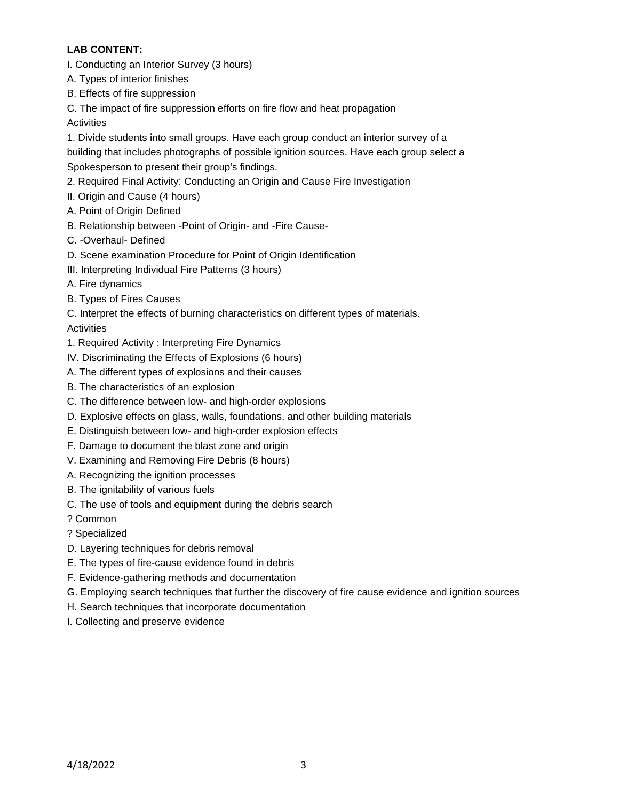# **LAB CONTENT:**

- I. Conducting an Interior Survey (3 hours)
- A. Types of interior finishes
- B. Effects of fire suppression
- C. The impact of fire suppression efforts on fire flow and heat propagation

**Activities** 

1. Divide students into small groups. Have each group conduct an interior survey of a building that includes photographs of possible ignition sources. Have each group select a

Spokesperson to present their group's findings.

- 2. Required Final Activity: Conducting an Origin and Cause Fire Investigation
- II. Origin and Cause (4 hours)
- A. Point of Origin Defined
- B. Relationship between -Point of Origin- and -Fire Cause-
- C. -Overhaul- Defined
- D. Scene examination Procedure for Point of Origin Identification
- III. Interpreting Individual Fire Patterns (3 hours)
- A. Fire dynamics
- B. Types of Fires Causes

C. Interpret the effects of burning characteristics on different types of materials.

**Activities** 

- 1. Required Activity : Interpreting Fire Dynamics
- IV. Discriminating the Effects of Explosions (6 hours)
- A. The different types of explosions and their causes
- B. The characteristics of an explosion
- C. The difference between low- and high-order explosions
- D. Explosive effects on glass, walls, foundations, and other building materials
- E. Distinguish between low- and high-order explosion effects
- F. Damage to document the blast zone and origin
- V. Examining and Removing Fire Debris (8 hours)
- A. Recognizing the ignition processes
- B. The ignitability of various fuels
- C. The use of tools and equipment during the debris search
- ? Common
- ? Specialized
- D. Layering techniques for debris removal
- E. The types of fire-cause evidence found in debris
- F. Evidence-gathering methods and documentation
- G. Employing search techniques that further the discovery of fire cause evidence and ignition sources
- H. Search techniques that incorporate documentation
- I. Collecting and preserve evidence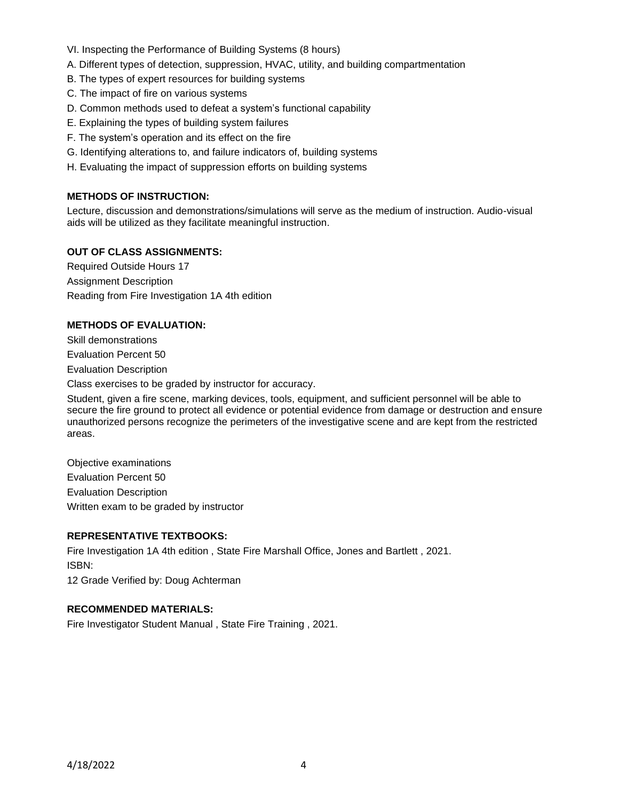- VI. Inspecting the Performance of Building Systems (8 hours)
- A. Different types of detection, suppression, HVAC, utility, and building compartmentation
- B. The types of expert resources for building systems
- C. The impact of fire on various systems
- D. Common methods used to defeat a system's functional capability
- E. Explaining the types of building system failures
- F. The system's operation and its effect on the fire
- G. Identifying alterations to, and failure indicators of, building systems
- H. Evaluating the impact of suppression efforts on building systems

## **METHODS OF INSTRUCTION:**

Lecture, discussion and demonstrations/simulations will serve as the medium of instruction. Audio-visual aids will be utilized as they facilitate meaningful instruction.

### **OUT OF CLASS ASSIGNMENTS:**

Required Outside Hours 17 Assignment Description Reading from Fire Investigation 1A 4th edition

### **METHODS OF EVALUATION:**

Skill demonstrations Evaluation Percent 50 Evaluation Description

Class exercises to be graded by instructor for accuracy.

Student, given a fire scene, marking devices, tools, equipment, and sufficient personnel will be able to secure the fire ground to protect all evidence or potential evidence from damage or destruction and ensure unauthorized persons recognize the perimeters of the investigative scene and are kept from the restricted areas.

Objective examinations Evaluation Percent 50 Evaluation Description Written exam to be graded by instructor

## **REPRESENTATIVE TEXTBOOKS:**

Fire Investigation 1A 4th edition , State Fire Marshall Office, Jones and Bartlett , 2021. ISBN:

12 Grade Verified by: Doug Achterman

### **RECOMMENDED MATERIALS:**

Fire Investigator Student Manual , State Fire Training , 2021.